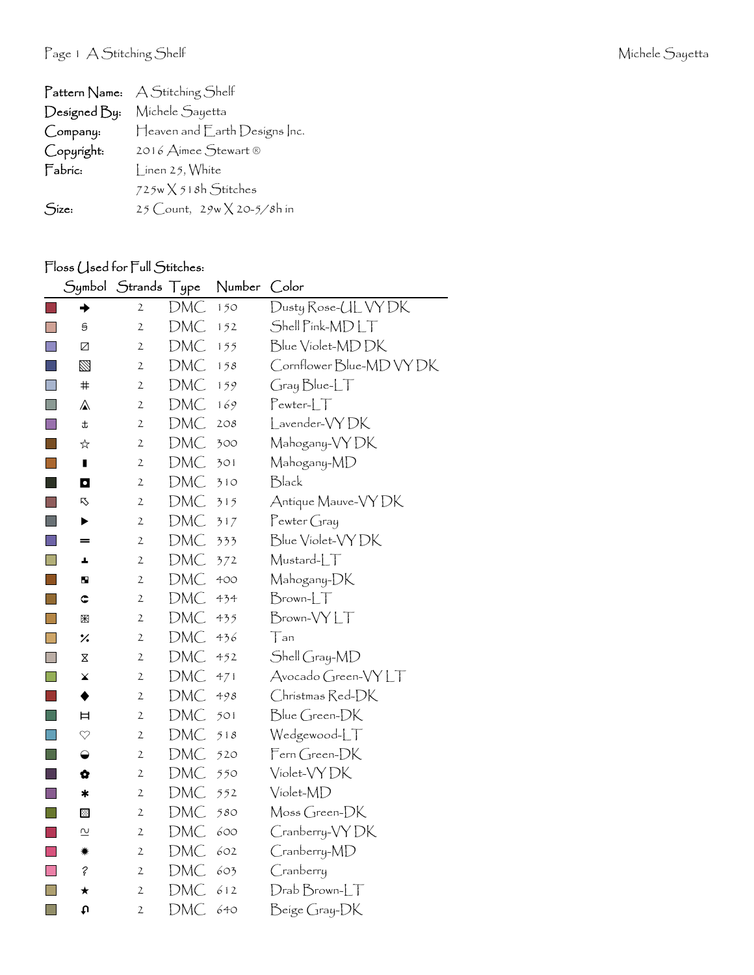| $\upharpoonright$ attern $\upharpoonright$ ame: | A Stitching Shelf                   |
|-------------------------------------------------|-------------------------------------|
| Designed By:                                    | Michele Sayetta                     |
| Company:                                        | Heaven and Earth Designs Inc.       |
| Copyright:                                      | 2016 Aimee Stewart ®                |
| Fabric:                                         | $\int$ inen 25, White               |
|                                                 | $725w \times 518h$ Stitches         |
| Size:                                           | 25 Count, $29w \times 20 - 5/8h$ in |

## Floss (Jsed for Full Stitches:

|                |              | Symbol Strands | $\sqrt{1}$ ype | Number | Color                    |
|----------------|--------------|----------------|----------------|--------|--------------------------|
|                | ◆            | 2              | DMC            | 150    | Dusty Rose-UL VY DK      |
| $\mathbb{R}^n$ | S            | $\mathbf{2}$   | DMC            | 152    | Shell Pink-MDLT          |
| $\Box$         | Z            | $\overline{c}$ | <b>DMC</b>     | 155    | Blue Violet-MDDK         |
|                | $\boxtimes$  | 2              | DMC            | 158    | Cornflower Blue-MD VY DK |
| $\Box$         | $\#$         | 2              | <b>DMC</b>     | 159    | Gray Blue-LT             |
| H              | ⚠            | $\mathfrak{2}$ | DMC            | 169    | $Pewter-LT$              |
| $\mathbb{R}^n$ | Ŧ            | $\mathfrak{2}$ | DMC            | 208    | Lavender-VYDK            |
| l a s          | ☆            | 2              | DMC            | 300    | Mahogany-VYDK            |
| <b>College</b> | П            | $\mathbf 2$    | DMC            | 301    | Mahogany-MD              |
| ×.             | O            | $\mathbf 2$    | DMC            | 310    | Black                    |
|                | 叺            | $\mathfrak{2}$ | DMC            | 315    | Antique Mauve-VY DK      |
| <b>Tara</b>    | ▶            | $\mathfrak{2}$ | DMC            | 317    | $P$ ewter Gray           |
| n              | $=$          | $\mathbf{2}$   | DMC            | 333    | Blue Violet-VY DK        |
| $\blacksquare$ | a.           | 2              | DMC            | 372    | Mustard-LT               |
| k.             | ш            | 2              | DMC            | 400    | Mahogany-DK              |
| $\mathbf{I}$   | ¢            | $\mathfrak{2}$ | DMC            | 434    | $Brown$ - $LT$           |
| $\Box$         | ₩            | $\mathfrak{2}$ | DMC            | 435    | Brown-VYLT               |
| H              | %            | $\mathfrak{2}$ | DMC            | 436    | Tan                      |
| F.             | X            | 2              | <b>DMC</b>     | 452    | Shell Gray-MD            |
| П              | ×            | 2              | <b>DMC</b>     | 471    | Avocado Green-VYLT       |
|                | ◆            | $\mathfrak{2}$ | DMC            | 498    | Christmas Red-DK         |
| O              | Ħ            | $\mathfrak{2}$ | DMC            | 501    | Blue Green-DK            |
|                | $\heartsuit$ | $\mathfrak{2}$ | DMC            | 518    | Wedgewood-LT             |
| $\Box$         | ◒            | $\mathbf{2}$   | DMC            | 520    | Fern Green-DK            |
|                | ✿            | $\mathfrak{2}$ | <b>DMC</b>     | 550    | Violet-VY DK             |
| l a            | ∗            | $\mathbf 2$    | <b>DMC</b>     | 552    | Violet-MD                |
| l a            | ⊡            | $\mathbf{2}$   | DMC            | 580    | Moss Green-DK            |
| ×.             | 으            | $\mathfrak{2}$ | <b>DMC</b>     | 600    | Cranberry-VYDK           |
|                | ☀            | $\mathfrak{2}$ | DMC            | 602    | Cranberry-MD             |
| $\mathbb{R}^3$ | ?            | 2              | DMC            | 603    | Cranberry                |
| H              | ★            | $\mathfrak{2}$ | DMC            | 612    | $D$ rab $B$ rown- $LT$   |
| $\Box$         | u            | 2              | DMC            | 640    | Beige Gray-DK            |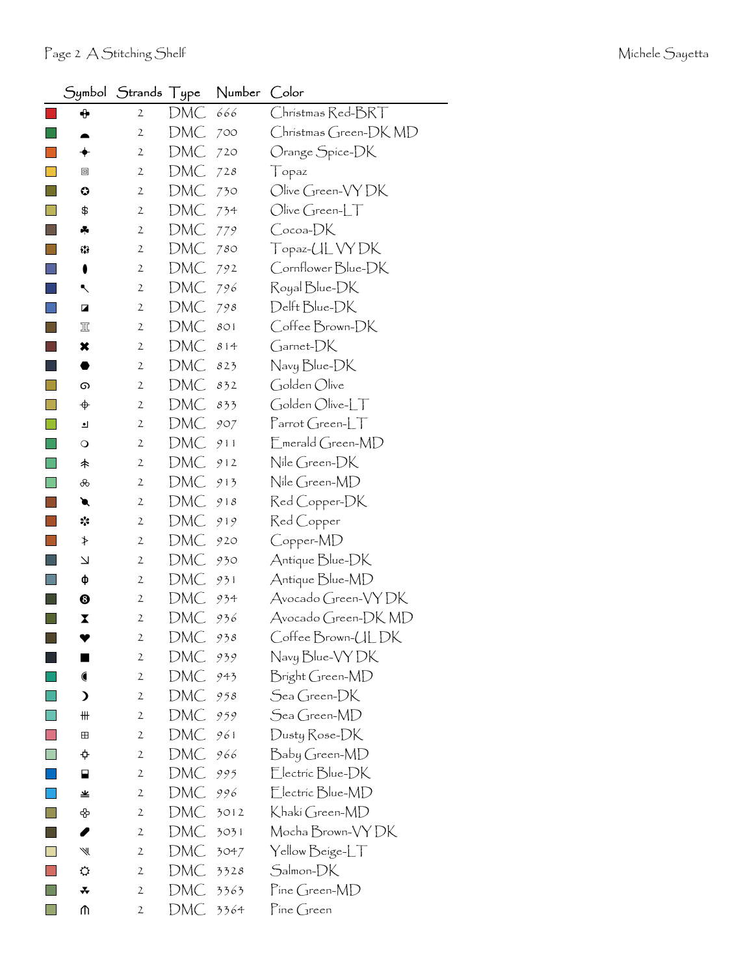| Symbol                   | Strands Type |            | Number | Color                                  |
|--------------------------|--------------|------------|--------|----------------------------------------|
| ⊕                        | 2            | DMC        | 666    | Christmas Red-BRT                      |
|                          | $\mathbf{2}$ | DMC        | 700    | Christmas Green-DK MD                  |
| ✦                        | $\mathbf{2}$ | DMC        | 720    | Orange Spice-DK                        |
| ▣                        | 2            | DMC        | 728    | $\int$ opaz                            |
| ⊙                        | 2            | DMC        | 730    | Olive Green-VY DK                      |
| \$                       | $\mathbf{2}$ | DMC        | 734    | $Olive Green-LT$                       |
| 4                        | 2            | DMC        | 779    | Cocoa-DK                               |
| 53                       | 2            | DMC        | 780    | Topaz-UL VY DK                         |
| 0                        | $\mathbf{2}$ | DMC        | 792    | Cornflower Blue-DK                     |
| ↖                        | 2            | DMC        | 796    | Royal Blue-DK                          |
| Z                        | $\mathbf{2}$ | DMC        | 798    | Delft Blue-DK                          |
| 皿                        | $\mathbf{2}$ | DMC        | 801    | Coffee Brown-DK                        |
| ×                        | 2            | DMC        | 814    | Garnet-DK                              |
|                          | $\mathbf{2}$ | DMC        | 823    | Navy Blue-DK                           |
| ග                        | $\mathbf{2}$ | DMC        | 832    | Golden Olive                           |
| ♦                        | 2            | DMC        | 833    | Golden Olive-LT                        |
| ┛                        | $\mathbf{2}$ | DMC        | 907    | $\Gamma$ arrot Green-L $\top$          |
| $\circ$                  | $\mathbf{2}$ | DMC        | 911    | $\mathsf{E}_{\mathsf{merald}$ Green-MD |
| 未                        | 2            | DMC        | 912    | Nile Green-DK                          |
| ൿ                        | $\mathbf{2}$ | DMC        | 913    | Nile Green-MD                          |
| €                        | 2            | DMC        | 918    | Red Copper-DK                          |
| ☆                        | $\mathbf{2}$ | DMC        | 919    | Red Copper                             |
| ≯                        | 2            | DMC        | 920    | Copper-MD                              |
| $\overline{\phantom{0}}$ | 2            | DMC        | 930    | Antique Blue-DK                        |
| ф                        | 2            | DMC        | 931    | Antique Blue-MD                        |
| ❸                        | $\mathbf{2}$ | DMC        | 934    | Avocado Green-VYDK                     |
| X                        | $\mathbf{2}$ | <b>DMC</b> | 936    | Avocado Green-DK MD                    |
|                          | $\mathbf{2}$ | DMC        | 938    | Coffee Brown-ULDK                      |
|                          | $\mathbf{2}$ | DMC        | 939    | Navy Blue-VY DK                        |
|                          | $\mathbf{2}$ | DMC        | 943    | Bright Green-MD                        |
| $\mathbf{\mathbf{z}}$    | $\mathbf{2}$ | DMC        | 958    | Sea Green-DK                           |
| ₩                        | $\mathbf{2}$ | DMC        | 959    | Sea Green-MD                           |
| $\mathbf{H}$             | $\mathbf{2}$ | DMC        | 961    | Dusty Rose-DK                          |
|                          | $\mathbf{2}$ | DMC        | 966    | Baby Green-MD                          |
| ⊟                        | $\mathbf{2}$ | DMC        | 995    | Electric Blue-DK                       |
| 坐                        | $\mathbf{2}$ | DMC        | 996    | Electric Blue-MD                       |
| ♧                        | 2            | DMC        | 3012   | Khaki Green-MD                         |
| 1                        | $\mathbf{2}$ | DMC        | 3031   | Mocha Brown-VY DK                      |
| ₩                        | $\mathbf{2}$ | DMC        | 3047   | Yellow Beige-LT                        |
| ⇔                        | 2            | DMC        | 3328   | Salmon-DK                              |
| ∓                        | $\mathbf{2}$ | DMC        | 3363   | Pine Green-MD                          |
| ⋔                        | $\mathbf{2}$ | DMC        | 3364   | Pine Green                             |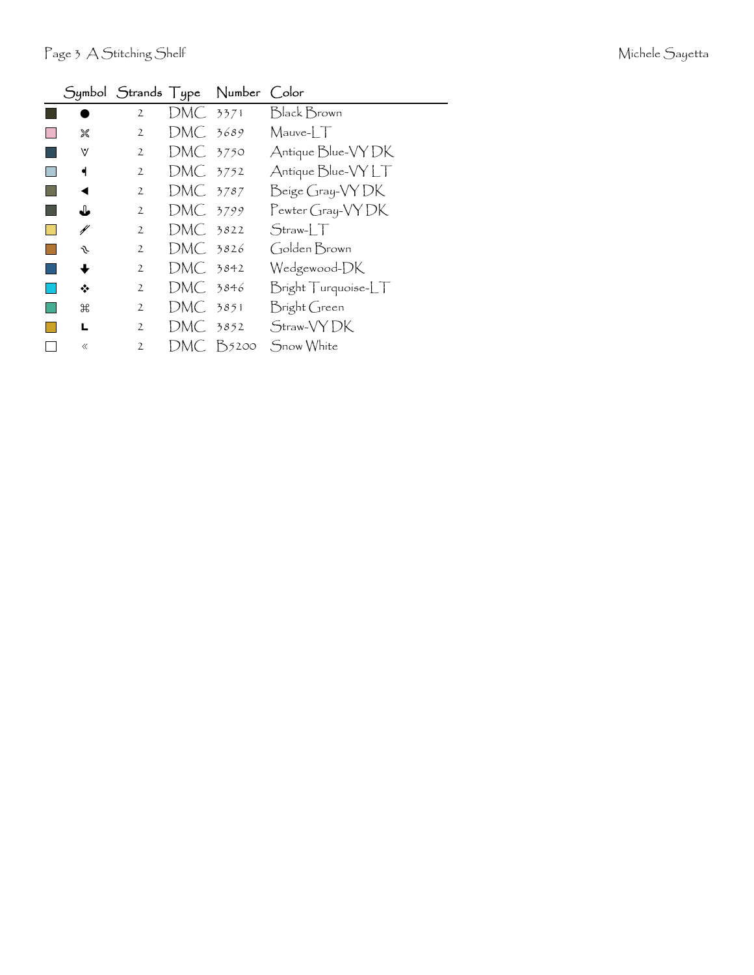|       |                |          | Symbol Strands Type Number Color |                       |
|-------|----------------|----------|----------------------------------|-----------------------|
|       | $\overline{2}$ | DMC 3371 |                                  | <b>Black Brown</b>    |
| 饕     | 2              | DMC 3689 |                                  | $M$ auve- $\Box$      |
| V     | 2              | DMC 3750 |                                  | Antique Blue-VY DK    |
| ┫     | 2              | DMC 3752 |                                  | Antique Blue-VY LT    |
| ◀     | 2              | DMC 3787 |                                  | Beige Gray-VY DK      |
| ▟▖    | $\overline{2}$ | DMC 3799 |                                  | Pewter Gray-VY DK     |
| ¥     | $\overline{2}$ | DMC 3822 |                                  | $Straw-LT$            |
| s     | $\mathfrak{2}$ | DMC 3826 |                                  | Golden Brown          |
| ╈     | 2              | DMC 3842 |                                  | Wedgewood-DK          |
| ❖     | $\overline{2}$ | DMC 3846 |                                  | $Bright Triquoise-LT$ |
| ₩     | $\overline{2}$ | DMC 3851 |                                  | Bright Green          |
| L     | $\overline{2}$ | DMC .    | 3852                             | Straw-VY DK           |
| $\ll$ | $\overline{2}$ | DMC.     | B5200                            | Snow White            |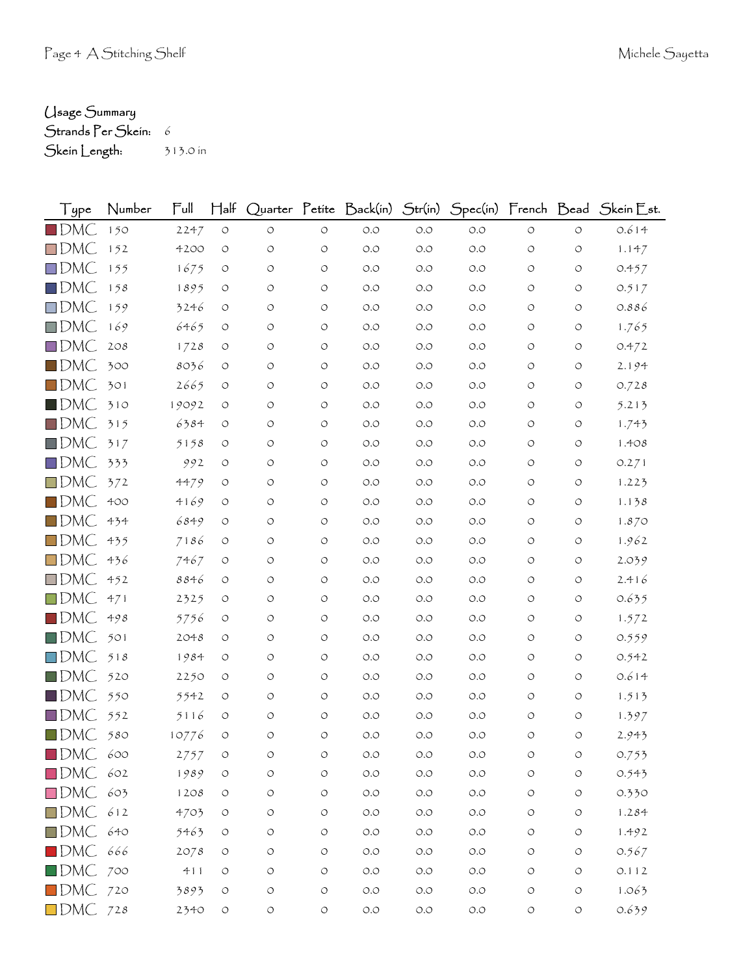## Usage Summary

Strands Per Skein: 6 Skein Length: 313.0 in

| Type               | Number | Full  | $H$ alf            |                    |                    |                                      |       |       |                    |                    | Quarter Petite Back(in) Str(in) Spec(in) French Bead Skein Est. |
|--------------------|--------|-------|--------------------|--------------------|--------------------|--------------------------------------|-------|-------|--------------------|--------------------|-----------------------------------------------------------------|
| $\blacksquare$ DMC | 150    | 2247  | $\bigcirc$         | $\circlearrowleft$ | $\circ$            | O.O                                  | O.O   | O.O   | $\circ$            | $\circ$            | 0.614                                                           |
| $\Box$ DMC         | 152    | 4200  | O                  | $\circ$            | $\circ$            | O.O                                  | O.O   | O.O   | $\circ$            | $\circ$            | 1.147                                                           |
| $\Box$ DMC         | 155    | 1675  | O                  | O                  | O                  | O.O                                  | O.O   | O.O   | O                  | O                  | 0.457                                                           |
| $\square$ DMC      | 158    | 1895  | O                  | O                  | O                  | O.O                                  | O.O   | O.O   | O                  | O                  | 0.517                                                           |
| $\square$ DMC      | 159    | 3246  | O                  | O                  | O                  | O.O                                  | O.O   | O.O   | O                  | O                  | 0.886                                                           |
| $\square$ DMC      | 169    | 6465  | O                  | O                  | O                  | O.O                                  | O.O   | O.O   | O                  | O                  | 1.765                                                           |
| $\square$ DMC      | 208    | 1728  | O                  | O                  | O                  | O.O                                  | O.O   | O.O   | O                  | O                  | 0.472                                                           |
| $\square$ DMC      | 300    | 8036  | O                  | O                  | $\circ$            | O.O                                  | O.O   | O.O   | O                  | O                  | 2.194                                                           |
| $\square$ DMC      | 301    | 2665  | O                  | O                  | O                  | O.O                                  | O.O   | O.O   | O                  | O                  | 0.728                                                           |
| $\blacksquare$ DMC | 310    | 19092 | O                  | O                  | O                  | O.O                                  | O.O   | O.O   | O                  | O                  | 5.213                                                           |
| $\blacksquare$ DMC | 315    | 6384  | O                  | O                  | $\circ$            | O.O                                  | O.O   | O.O   | O                  | O                  | 1.743                                                           |
| $\square$ DMC      | 317    | 5158  | O                  | O                  | O                  | O.O                                  | O.O   | O.O   | O                  | O                  | 1.408                                                           |
| $\square$ DMC      | 333    | 992   | O                  | O                  | O                  | O.O                                  | O.O   | O.O   | O                  | O                  | 0.271                                                           |
| $\square$ DMC      | 372    | 4479  | $\circ$            | O                  | $\circ$            | O.O                                  | O.O   | O.O   | O                  | O                  | 1.223                                                           |
| $\square$ DMC      | 400    | 4169  | O                  | O                  | O                  | O.O                                  | O.O   | 0.0   | O                  | O                  | 1.138                                                           |
| $\square$ DMC      | 434    | 6849  | O                  | O                  | O                  | O.O                                  | O.O   | O.O   | O                  | O                  | 1.870                                                           |
| $\square$ DMC      | 435    | 7186  | O                  | O                  | O                  | O.O                                  | O.O   | O.O   | O                  | O                  | 1.962                                                           |
| $\Box$ DMC         | 436    | 7467  | O                  | O                  | O                  | O.O                                  | O.O   | O.O   | O                  | O                  | 2.039                                                           |
| $\square$ DMC      | 452    | 8846  | O                  | O                  | O                  | O.O                                  | O.O   | O.O   | O                  | O                  | 2.416                                                           |
| $\square$ DMC      | 471    | 2325  | O                  | O                  | O                  | O.O                                  | O.O   | O.O   | O                  | $\circ$            | 0.635                                                           |
| $\blacksquare$ DMC | 498    | 5756  | O                  | O                  | O                  | O.O                                  | O.O   | O.O   | O                  | O                  | 1.572                                                           |
| $\blacksquare$ DMC | 501    | 2048  | O                  | O                  | O                  | O.O                                  | O.O   | O.O   | O                  | O                  | 0.559                                                           |
| $\square$ DMC      | 518    | 1984  | O                  | O                  | O                  | O.O                                  | O.O   | 0.0   | O                  | O                  | 0.542                                                           |
| $\blacksquare$ DMC | 520    | 2250  | O                  | O                  | $\circ$            | O.O                                  | O.O   | O.O   | O                  | O                  | 0.614                                                           |
| $\blacksquare$ DMC | 550    | 5542  | O                  | O                  | O                  | O.O                                  | O.O   | O.O   | O                  | O                  | 1.513                                                           |
| $\Box$ DMC         | 552    | 5116  | O                  | O                  | O                  | O.O                                  | O.O   | O.O   | O                  | O                  | 1.397                                                           |
| $\blacksquare$ DMC | 580    | 10776 | O                  | O                  | $\circ$            | O.O                                  | O.O   | O.O   | O                  | $\circ$            | 2.943                                                           |
| $\blacksquare$ DMC | 600    | 2757  | $\bigcirc$         | O                  | O                  | O.O                                  | O.O   | O.O   | O                  | O                  | 0.753                                                           |
| $\square$ DMC      | 602    | 1989  | $\bigcirc$         | $\circ$            | $\bigcirc$         | $\circlearrowleft.\circlearrowright$ | $O.O$ | O.O   | $\circlearrowleft$ | $\bigcirc$         | 0.543                                                           |
| $\square$ DMC      | 603    | 1208  | $\bigcirc$         | $\bigcirc$         | $\bigcirc$         | $O.O$                                | O.O   | O.O   | $\bigcirc$         | $\bigcirc$         | 0.330                                                           |
| $\square$ DMC      | 612    | 4703  | $\bigcirc$         | O                  | $\bigcirc$         | $\circlearrowleft.\circlearrowright$ | O.O   | O.O   | O                  | $\circlearrowleft$ | 1.284                                                           |
| $\blacksquare$ DMC | 640    | 5463  | $\bigcirc$         | $\bigcirc$         | $\circ$            | $O.O$                                | $O.O$ | O.O   | O                  | $\circlearrowleft$ | 1.492                                                           |
| $\blacksquare$ DMC | 666    | 2078  | $\bigcirc$         | O                  | O                  | $O.O$                                | $O.O$ | O.O   | O                  | $\bigcirc$         | 0.567                                                           |
| $\square$ DMC      | 700    | 411   | O                  | $\bigcirc$         | $\bigcirc$         | $O.O$                                | $O.O$ | $O.O$ | $\bigcirc$         | O                  | 0.112                                                           |
| $\blacksquare$ DMC | 720    | 3893  | $\circlearrowleft$ | $\circ$            | $\circlearrowleft$ | $O.O$                                | O.O   | O.O   | $\bigcirc$         | $\bigcirc$         | 1.063                                                           |
| $\square$ DMC      | 728    | 2340  | $\bigcirc$         | $\circ$            | $\bigcirc$         | $O.O$                                | O.O   | $O.O$ | $\circlearrowleft$ | $\bigcirc$         | 0.639                                                           |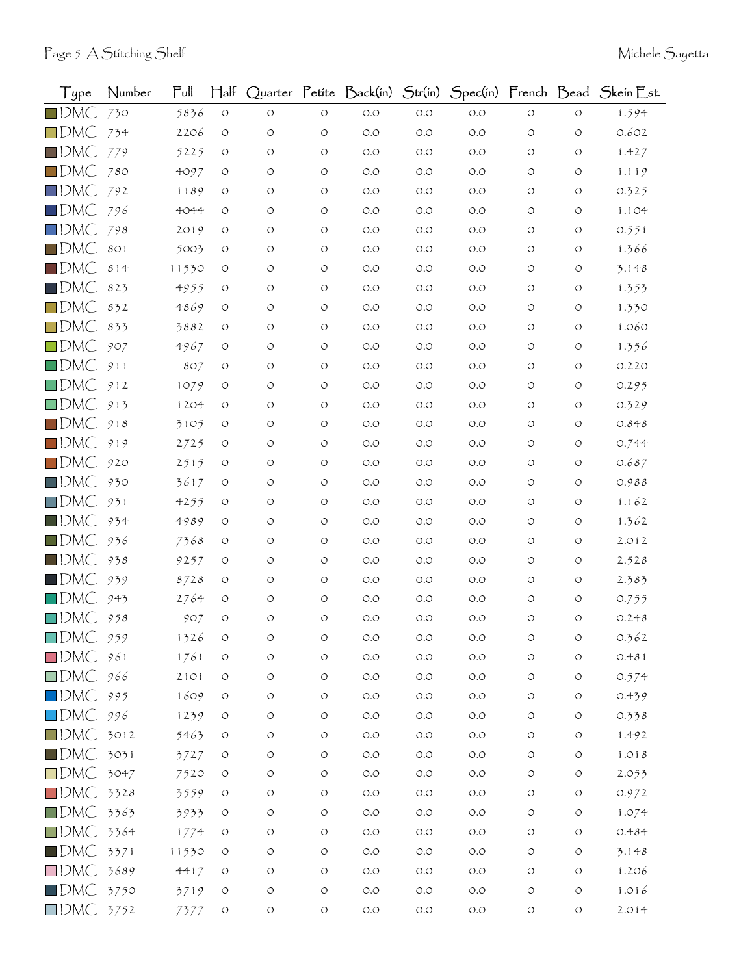| Type                | Number | Full  | $H$ alf            |                    |                    |                      |                                      |       |            |                    | Quarter Petite Back(in) Str(in) Spec(in) French Bead Skein Est. |
|---------------------|--------|-------|--------------------|--------------------|--------------------|----------------------|--------------------------------------|-------|------------|--------------------|-----------------------------------------------------------------|
| $\blacksquare$ DMC  | 730    | 5836  | $\circ$            | $\circ$            | O                  | O.O                  | $O.O$                                | O.O   | O          | O                  | 1.594                                                           |
| $\square$ DMC       | 734    | 2206  | O                  | O                  | $\circ$            | O.O                  | O.O                                  | O.O   | O          | O                  | 0.602                                                           |
| $\square$ DMC       | 779    | 5225  | O                  | O                  | $\circ$            | O.O                  | O.O                                  | 0.0   | O          | O                  | 1.427                                                           |
| $\Box$ DMC          | 780    | 4097  | O                  | O                  | $\circ$            | O.O                  | O.O                                  | O.O   | O          | O                  | 1.119                                                           |
| $\square$ DMC       | 792    | 1189  | O                  | O                  | $\circ$            | O.O                  | O.O                                  | 0.0   | O          | O                  | 0.325                                                           |
| $\square$ DMC       | 796    | 4044  | O                  | O                  | O                  | O.O                  | O.O                                  | 0.0   | O          | O                  | 1.104                                                           |
| $\square$ DMC       | 798    | 2019  | O                  | O                  | $\circ$            | O.O                  | O.O                                  | 0.0   | O          | O                  | 0.551                                                           |
| $\square$ DMC       | 801    | 5003  | O                  | O                  | $\circ$            | O.O                  | O.O                                  | 0.0   | O          | O                  | 1.366                                                           |
| $\blacksquare$ DMC  | 814    | 11530 | O                  | O                  | O                  | O.O                  | O.O                                  | O.O   | O          | O                  | 3.148                                                           |
| $\blacksquare$ dmC  | 823    | 4955  | O                  | O                  | $\circ$            | O.O                  | O.O                                  | O.O   | O          | O                  | 1.353                                                           |
| $\Box$ DMC          | 832    | 4869  | O                  | O                  | $\circ$            | O.O                  | O.O                                  | O.O   | O          | O                  | 1.330                                                           |
| $\square$ DMC       | 833    | 3882  | O                  | O                  | O                  | O.O                  | O.O                                  | O.O   | O          | O                  | 1.060                                                           |
| $\square$ DMC       | 907    | 4967  | O                  | O                  | $\circ$            | O.O                  | O.O                                  | O.O   | O          | O                  | 1.356                                                           |
| $\square$ DMC       | 911    | 807   | O                  | O                  | $\circ$            | O.O                  | O.O                                  | 0.0   | O          | O                  | 0.220                                                           |
| $\Box$ DMC          | 912    | 1079  | O                  | O                  | O                  | O.O                  | O.O                                  | 0.0   | O          | O                  | 0.295                                                           |
| $\square$ DMC       | 913    | 1204  | O                  | O                  | $\circ$            | O.O                  | O.O                                  | 0.0   | O          | O                  | 0.329                                                           |
| $\square$ DMC       | 918    | 3105  | O                  | O                  | O                  | O.O                  | O.O                                  | O.O   | O          | O                  | 0.848                                                           |
| $\blacksquare$ DMC  | 919    | 2725  | O                  | O                  | $\circ$            | O.O                  | O.O                                  | O.O   | O          | O                  | 0.744                                                           |
| $\square$ DMC       | 920    | 2515  | O                  | O                  | $\circ$            | O.O                  | O.O                                  | O.O   | O          | O                  | 0.687                                                           |
| $\blacksquare$ DMC. | 930    | 3617  | O                  | O                  | O                  | O.O                  | O.O                                  | O.O   | O          | O                  | 0.988                                                           |
| $\Box$ DMC          | 931    | 4255  | O                  | O                  | O                  | O.O                  | O.O                                  | O.O   | O          | O                  | 1.162                                                           |
| $\blacksquare$ DMC  | 934    | 4989  | O                  | O                  | O                  | O.O                  | O.O                                  | 0.0   | O          | O                  | 1.362                                                           |
| $\blacksquare$ DMC. | 936    | 7368  | O                  | O                  | $\circ$            | O.O                  | O.O                                  | O.O   | O          | O                  | 2.012                                                           |
| $\square$ DMC       | 938    | 9257  | O                  | O                  | O                  | O.O                  | O.O                                  | 0.0   | O          | O                  | 2.528                                                           |
| $\blacksquare$ DMC  | 939    | 8728  | O                  | O                  | O                  | O.O                  | O.O                                  | O.O   | O          | O                  | 2.383                                                           |
| $\Box$ DMC.         | 943    | 2764  | O                  | O                  | $\circ$            | O.O                  | O.O                                  | O.O   | O          | O                  | 0.755                                                           |
| $\square$ DMC       | 958    | 907   | O                  | O                  | $\circ$            | O.O                  | O.O                                  | O.O   | O          | O                  | 0.248                                                           |
| $\Box$ DMC          | 959    | 1326  | $\circlearrowleft$ | O                  | $\circ$            | $O.O$                | $O.O$                                | O.O   | $\circ$    | $\circ$            | 0.362                                                           |
| $\square$ DMC       | 961    | 1761  | O                  | O                  | $\circlearrowleft$ | $\circ$ .<br>$\circ$ | $O.O$                                | $O.O$ | O          | $\circ$            | 0.481                                                           |
| $\square$ DMC       | 966    | 2101  | $\circ$            | O                  | $\circ$            | $O.O$                | $O.O$                                | $O.O$ | O          | $\circ$            | 0.574                                                           |
| $\square$ DMC       | 995    | 1609  | O                  | $\circlearrowleft$ | $\circlearrowleft$ | $\circ$ .<br>$\circ$ | $O.O$                                | $O.O$ | $\circ$    | $\bigcirc$         | 0.439                                                           |
| $\square$ DMC       | 996    | 1239  | $\circlearrowleft$ | $\bigcirc$         | $\circlearrowleft$ | $\circ$ .<br>$\circ$ | $O.O$                                | O.O   | $\circ$    | $\bigcirc$         | 0.338                                                           |
| $\square$ DMC       | 3012   | 5463  | O                  | O                  | $\circlearrowleft$ | $\circ$ .<br>$\circ$ | $\circlearrowleft.\circlearrowright$ | $O.O$ | O          | $\circ$            | 1.492                                                           |
| $\blacksquare$ DMC  | 3031   | 3727  | $\circlearrowleft$ | $\circlearrowleft$ | $\bigcirc$         | $O.O$                | $O.O$                                | $O.O$ | O          | $\bigcirc$         | $1.018$                                                         |
| $\square$ DMC       | 3047   | 7520  | $\circ$            | O                  | $\circlearrowleft$ | $\circ$ .<br>$\circ$ | $O.O$                                | O.O   | O          | $\bigcirc$         | 2.053                                                           |
| $\square$ DMC       | 3328   | 3559  | O                  | O                  | $\circlearrowleft$ | $O.O$                | $O.O$                                | $O.O$ | $\circ$    | O                  | 0.972                                                           |
| $\square$ DMC       | 3363   | 3933  | $\bigcirc$         | $\circ$            | $\bigcirc$         | $O.O$                | $O.O$                                | $O.O$ | O          | $\circ$            | 1.074                                                           |
| $\square$ DMC       | 3364   | 1774  | $\circlearrowleft$ | O                  | $\circlearrowleft$ | $\circ$ .<br>$\circ$ | $O.O$                                | O.O   | $\circ$    | $\circ$            | 0.484                                                           |
| $\blacksquare$ DMC  | 3371   | 11530 | O                  | O                  | $\bigcirc$         | $O.O$                | $O.O$                                | $O.O$ | $\circ$    | O                  | 3.148                                                           |
| $\square$ DMC       | 3689   | 4417  | $\circlearrowleft$ | O                  | $\circlearrowleft$ | $O.O$                | $O.O$                                | $O.O$ | $\circ$    | $\bigcirc$         | 1.206                                                           |
| $\blacksquare$ DMC  | 3750   | 3719  | $\circ$            | O                  | $\bigcirc$         | $O.O$                | $O.O$                                | $O.O$ | $\bigcirc$ | $\bigcirc$         | 1.016                                                           |
| $\Box$ DMC 3752     |        | 7377  | $\circ$            | $\circlearrowleft$ | $\bigcirc$         | $O.O$                | $O.O$                                | $O.O$ | O          | $\circlearrowleft$ | 2.014                                                           |